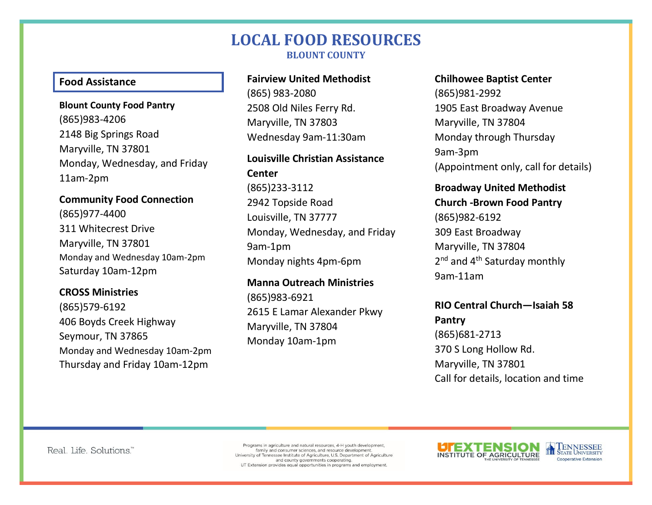# **LOCAL FOOD RESOURCES BLOUNT COUNTY**

#### **Food Assistance**

**Blount County Food Pantry** (865)983-4206 2148 Big Springs Road Maryville, TN 37801 Monday, Wednesday, and Friday 11am-2pm

**Community Food Connection**  (865)977-4400 311 Whitecrest Drive Maryville, TN 37801 Monday and Wednesday 10am-2pm Saturday 10am-12pm

### **CROSS Ministries**  (865)579-6192 406 Boyds Creek Highway Seymour, TN 37865 Monday and Wednesday 10am-2pm Thursday and Friday 10am-12pm

### **Fairview United Methodist**

(865) 983-2080 2508 Old Niles Ferry Rd. Maryville, TN 37803 Wednesday 9am-11:30am

# **Louisville Christian Assistance Center**

(865)233-3112 2942 Topside Road Louisville, TN 37777 Monday, Wednesday, and Friday 9am-1pm Monday nights 4pm-6pm

**Manna Outreach Ministries**  (865)983-6921 2615 E Lamar Alexander Pkwy Maryville, TN 37804 Monday 10am-1pm

#### **Chilhowee Baptist Center**

(865)981-2992 1905 East Broadway Avenue Maryville, TN 37804 Monday through Thursday 9am-3pm (Appointment only, call for details)

### **Broadway United Methodist**

**Church -Brown Food Pantry** (865)982-6192 309 East Broadway Maryville, TN 37804 2<sup>nd</sup> and 4<sup>th</sup> Saturday monthly 9am-11am

### **RIO Central Church—Isaiah 58 Pantry** (865)681-2713

370 S Long Hollow Rd. Maryville, TN 37801 Call for details, location and time

Real. Life. Solutions."

Programs in agriculture and natural resources, 4-H youth development. family and consumer sciences, and resource development University of Tennessee Institute of Agriculture, U.S. Department of Agriculture and county governments cooperating. UT Extension provides equal opportunities in programs and employment.